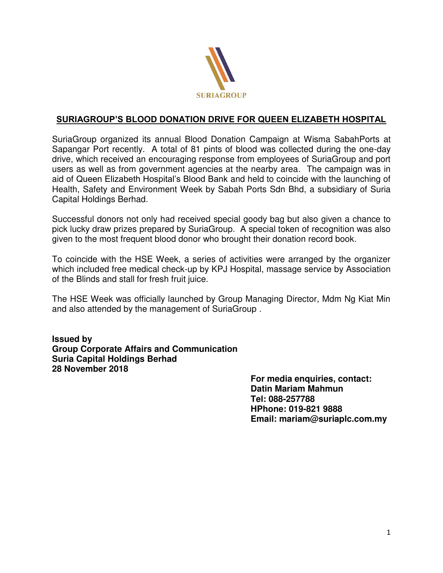

## **SURIAGROUP'S BLOOD DONATION DRIVE FOR QUEEN ELIZABETH HOSPITAL**

SuriaGroup organized its annual Blood Donation Campaign at Wisma SabahPorts at Sapangar Port recently. A total of 81 pints of blood was collected during the one-day drive, which received an encouraging response from employees of SuriaGroup and port users as well as from government agencies at the nearby area. The campaign was in aid of Queen Elizabeth Hospital's Blood Bank and held to coincide with the launching of Health, Safety and Environment Week by Sabah Ports Sdn Bhd, a subsidiary of Suria Capital Holdings Berhad.

Successful donors not only had received special goody bag but also given a chance to pick lucky draw prizes prepared by SuriaGroup. A special token of recognition was also given to the most frequent blood donor who brought their donation record book.

To coincide with the HSE Week, a series of activities were arranged by the organizer which included free medical check-up by KPJ Hospital, massage service by Association of the Blinds and stall for fresh fruit juice.

The HSE Week was officially launched by Group Managing Director, Mdm Ng Kiat Min and also attended by the management of SuriaGroup .

**Issued by Group Corporate Affairs and Communication Suria Capital Holdings Berhad 28 November 2018** 

> **For media enquiries, contact: Datin Mariam Mahmun Tel: 088-257788 HPhone: 019-821 9888 Email: mariam@suriaplc.com.my**